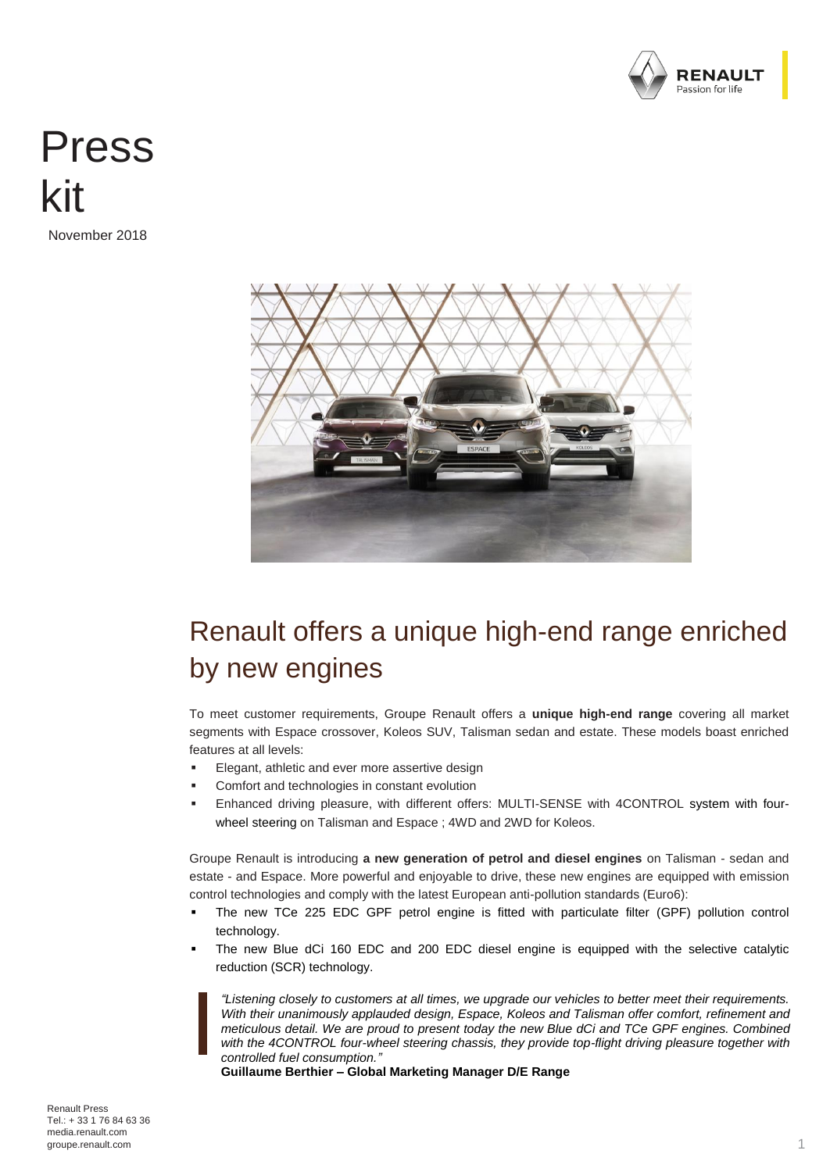

# Press kit

November 2018



## Renault offers a unique high-end range enriched by new engines

To meet customer requirements, Groupe Renault offers a **unique high-end range** covering all market segments with Espace crossover, Koleos SUV, Talisman sedan and estate. These models boast enriched features at all levels:

- Elegant, athletic and ever more assertive design
- Comfort and technologies in constant evolution
- Enhanced driving pleasure, with different offers: MULTI-SENSE with 4CONTROL system with fourwheel steering on Talisman and Espace ; 4WD and 2WD for Koleos.

Groupe Renault is introducing **a new generation of petrol and diesel engines** on Talisman - sedan and estate - and Espace. More powerful and enjoyable to drive, these new engines are equipped with emission control technologies and comply with the latest European anti-pollution standards (Euro6):

- The new TCe 225 EDC GPF petrol engine is fitted with particulate filter (GPF) pollution control technology.
- The new Blue dCi 160 EDC and 200 EDC diesel engine is equipped with the selective catalytic reduction (SCR) technology.

*"Listening closely to customers at all times, we upgrade our vehicles to better meet their requirements. With their unanimously applauded design, Espace, Koleos and Talisman offer comfort, refinement and meticulous detail. We are proud to present today the new Blue dCi and TCe GPF engines. Combined with the 4CONTROL four-wheel steering chassis, they provide top-flight driving pleasure together with controlled fuel consumption."*

**Guillaume Berthier – Global Marketing Manager D/E Range**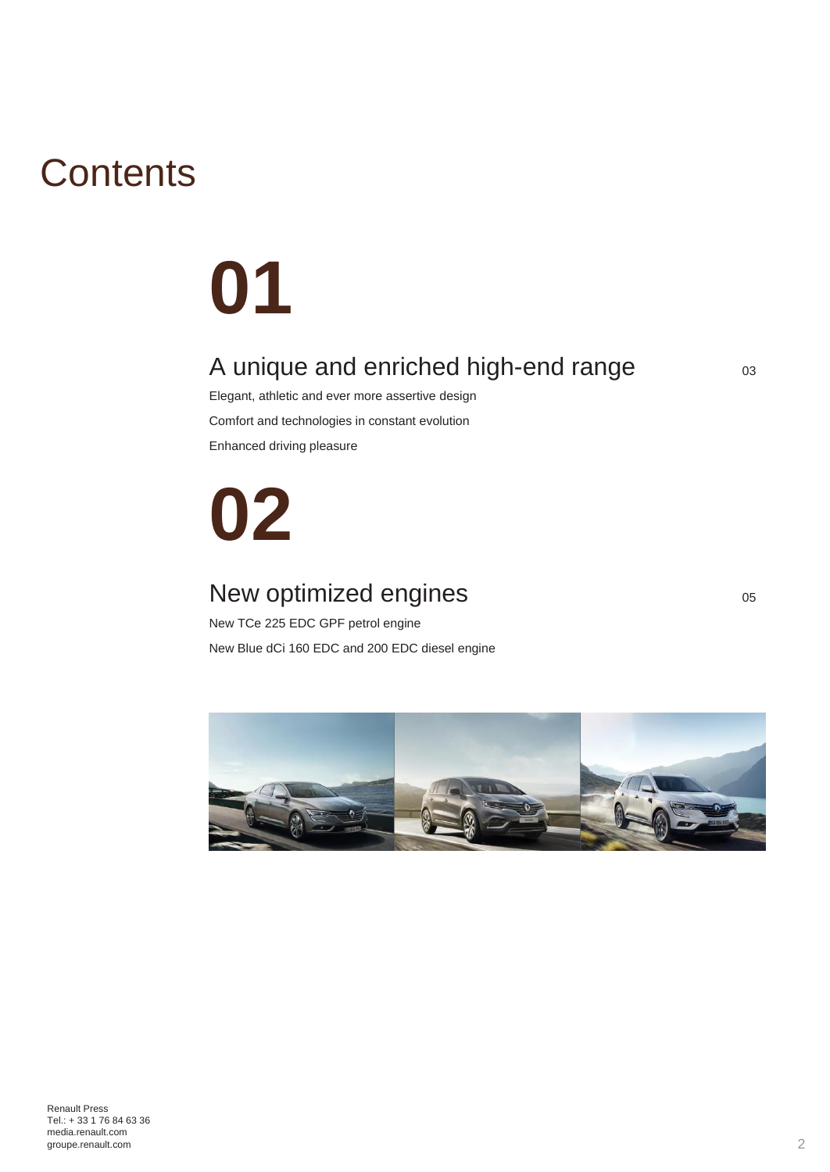# **Contents**

# **01**

## A unique and enriched high-end range  $\frac{1}{03}$

Elegant, athletic and ever more assertive design Comfort and technologies in constant evolution Enhanced driving pleasure

# **02**

## New optimized engines and the cost of the cost of the cost of the cost of the cost of the cost of the cost of the cost of the cost of the cost of the cost of the cost of the cost of the cost of the cost of the cost of the

New TCe 225 EDC GPF petrol engine New Blue dCi 160 EDC and 200 EDC diesel engine

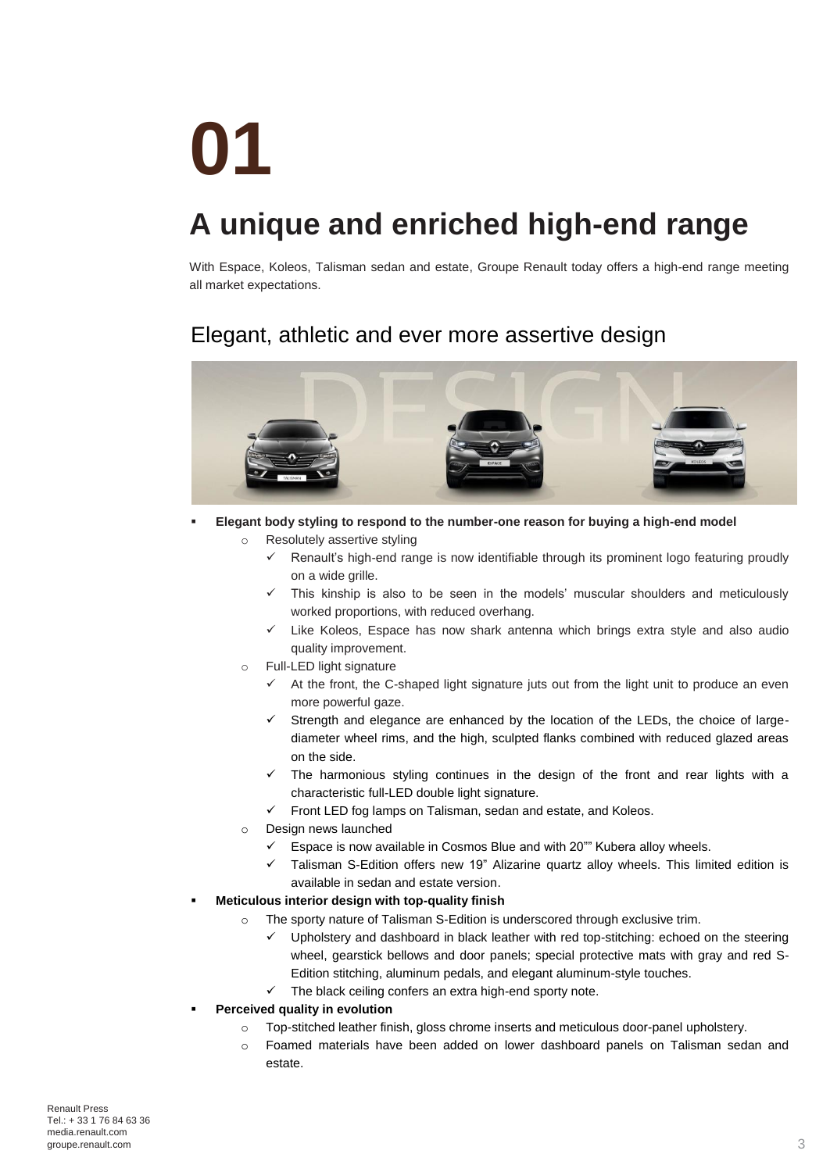# **01**

# **A unique and enriched high-end range**

With Espace, Koleos, Talisman sedan and estate, Groupe Renault today offers a high-end range meeting all market expectations.

## Elegant, athletic and ever more assertive design



- **Elegant body styling to respond to the number-one reason for buying a high-end model** o Resolutely assertive styling
	- $\checkmark$  Renault's high-end range is now identifiable through its prominent logo featuring proudly on a wide grille.
	- $\checkmark$  This kinship is also to be seen in the models' muscular shoulders and meticulously worked proportions, with reduced overhang.
	- $\checkmark$  Like Koleos, Espace has now shark antenna which brings extra style and also audio quality improvement.
	- o Full-LED light signature
		- $\checkmark$  At the front, the C-shaped light signature juts out from the light unit to produce an even more powerful gaze.
		- $\checkmark$  Strength and elegance are enhanced by the location of the LEDs, the choice of largediameter wheel rims, and the high, sculpted flanks combined with reduced glazed areas on the side.
		- $\checkmark$  The harmonious styling continues in the design of the front and rear lights with a characteristic full-LED double light signature.
		- $\checkmark$  Front LED fog lamps on Talisman, sedan and estate, and Koleos.
	- o Design news launched
		- Espace is now available in Cosmos Blue and with 20"" Kubera alloy wheels.
		- $\checkmark$  Talisman S-Edition offers new 19" Alizarine quartz alloy wheels. This limited edition is available in sedan and estate version.
	- **Meticulous interior design with top-quality finish**
		- o The sporty nature of Talisman S-Edition is underscored through exclusive trim.
			- Upholstery and dashboard in black leather with red top-stitching: echoed on the steering wheel, gearstick bellows and door panels; special protective mats with gray and red S-Edition stitching, aluminum pedals, and elegant aluminum-style touches.
			- $\checkmark$  The black ceiling confers an extra high-end sporty note.
- **Perceived quality in evolution** 
	- o Top-stitched leather finish, gloss chrome inserts and meticulous door-panel upholstery.
	- o Foamed materials have been added on lower dashboard panels on Talisman sedan and estate.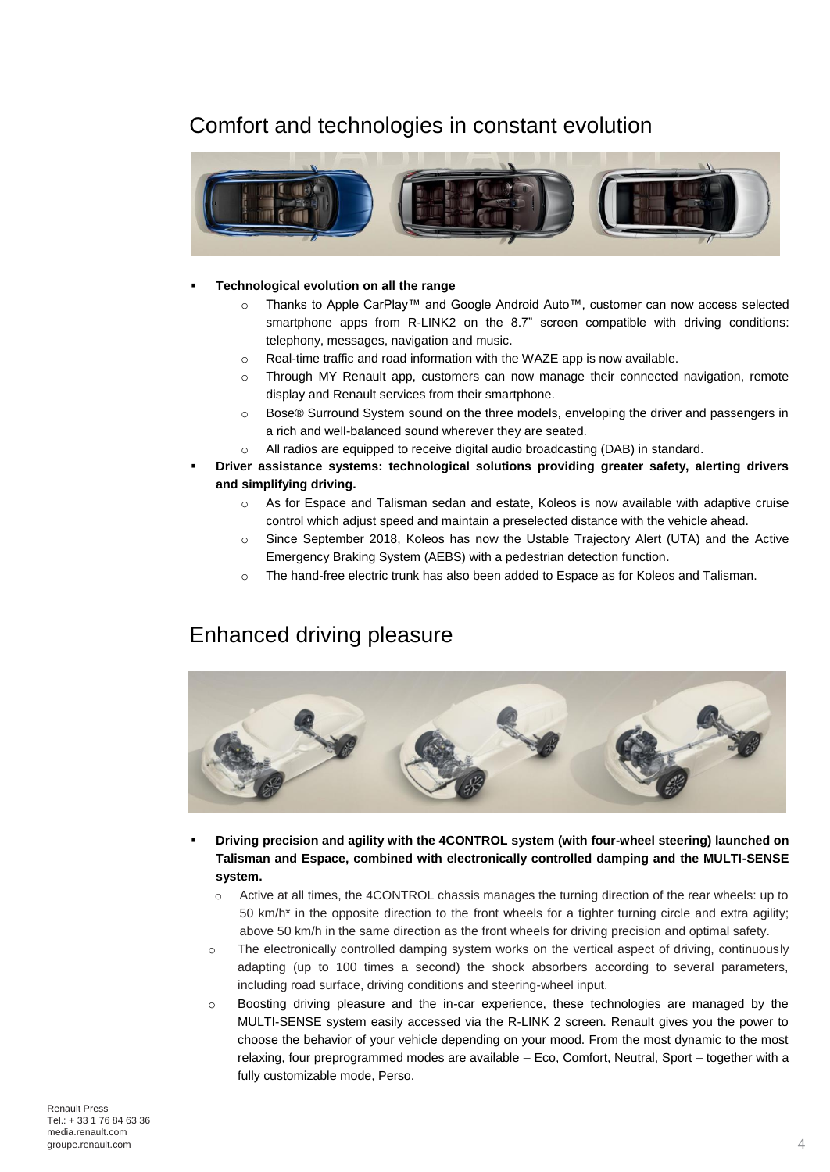### Comfort and technologies in constant evolution



#### **Technological evolution on all the range**

- o Thanks to Apple CarPlay™ and Google Android Auto™, customer can now access selected smartphone apps from R-LINK2 on the 8.7" screen compatible with driving conditions: telephony, messages, navigation and music.
- o Real-time traffic and road information with the WAZE app is now available.
- o Through MY Renault app, customers can now manage their connected navigation, remote display and Renault services from their smartphone.
- o Bose® Surround System sound on the three models, enveloping the driver and passengers in a rich and well-balanced sound wherever they are seated.
- o All radios are equipped to receive digital audio broadcasting (DAB) in standard.
- **Driver assistance systems: technological solutions providing greater safety, alerting drivers and simplifying driving.**
	- $\circ$  As for Espace and Talisman sedan and estate, Koleos is now available with adaptive cruise control which adjust speed and maintain a preselected distance with the vehicle ahead.
	- o Since September 2018, Koleos has now the Ustable Trajectory Alert (UTA) and the Active Emergency Braking System (AEBS) with a pedestrian detection function.
	- o The hand-free electric trunk has also been added to Espace as for Koleos and Talisman.

### Enhanced driving pleasure



- **Driving precision and agility with the 4CONTROL system (with four-wheel steering) launched on Talisman and Espace, combined with electronically controlled damping and the MULTI-SENSE system.**
	- o Active at all times, the 4CONTROL chassis manages the turning direction of the rear wheels: up to 50 km/h\* in the opposite direction to the front wheels for a tighter turning circle and extra agility; above 50 km/h in the same direction as the front wheels for driving precision and optimal safety.
	- o The electronically controlled damping system works on the vertical aspect of driving, continuously adapting (up to 100 times a second) the shock absorbers according to several parameters, including road surface, driving conditions and steering-wheel input.
	- $\circ$  Boosting driving pleasure and the in-car experience, these technologies are managed by the MULTI-SENSE system easily accessed via the R-LINK 2 screen. Renault gives you the power to choose the behavior of your vehicle depending on your mood. From the most dynamic to the most relaxing, four preprogrammed modes are available – Eco, Comfort, Neutral, Sport – together with a fully customizable mode, Perso.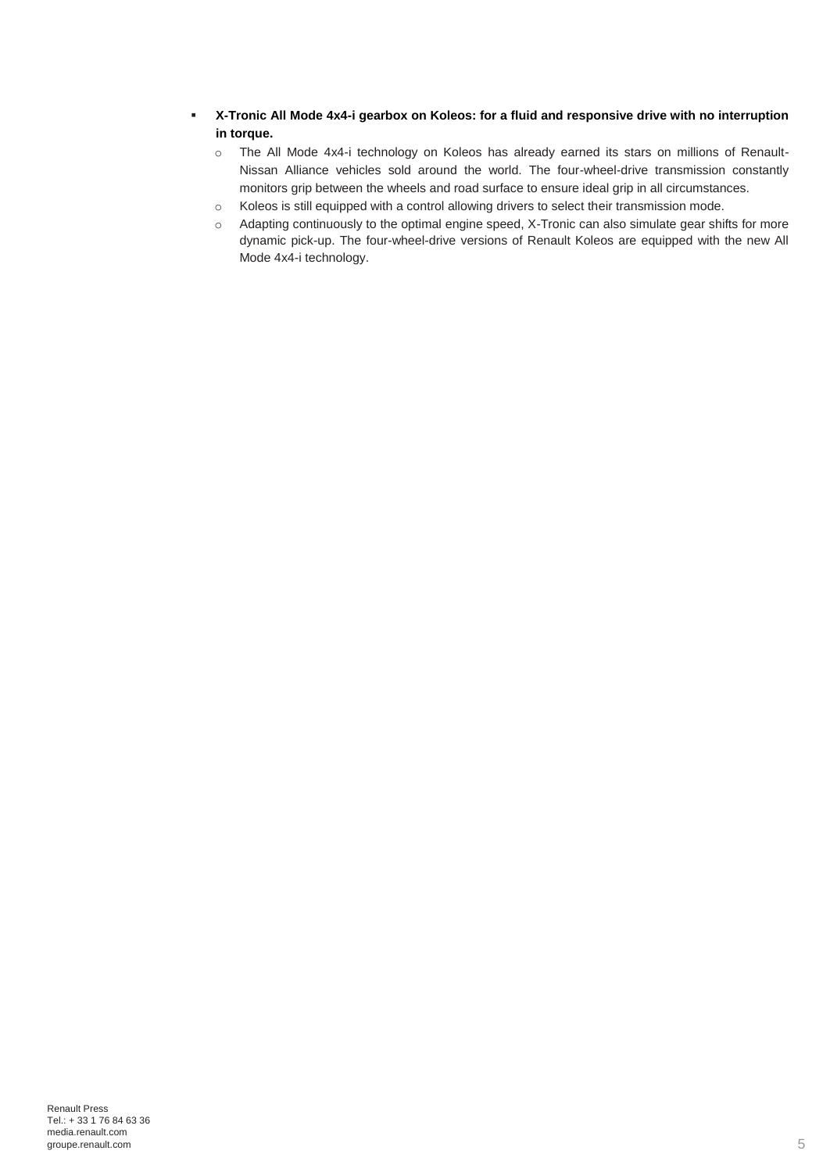- **X-Tronic All Mode 4x4-i gearbox on Koleos: for a fluid and responsive drive with no interruption in torque.**
	- o The All Mode 4x4-i technology on Koleos has already earned its stars on millions of Renault-Nissan Alliance vehicles sold around the world. The four-wheel-drive transmission constantly monitors grip between the wheels and road surface to ensure ideal grip in all circumstances.
	- o Koleos is still equipped with a control allowing drivers to select their transmission mode.
	- o Adapting continuously to the optimal engine speed, X-Tronic can also simulate gear shifts for more dynamic pick-up. The four-wheel-drive versions of Renault Koleos are equipped with the new All Mode 4x4-i technology.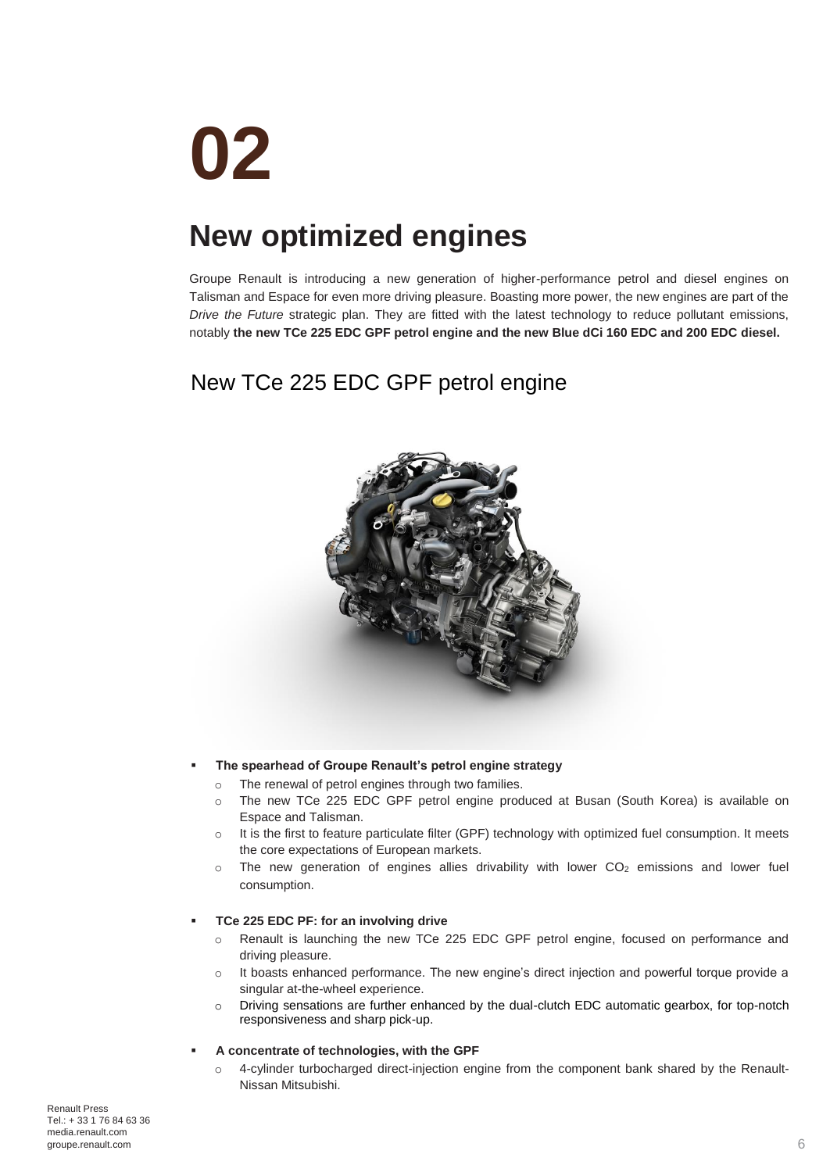# **02**

# **New optimized engines**

Groupe Renault is introducing a new generation of higher-performance petrol and diesel engines on Talisman and Espace for even more driving pleasure. Boasting more power, the new engines are part of the *Drive the Future* strategic plan. They are fitted with the latest technology to reduce pollutant emissions, notably **the new TCe 225 EDC GPF petrol engine and the new Blue dCi 160 EDC and 200 EDC diesel.**

## New TCe 225 EDC GPF petrol engine



### **The spearhead of Groupe Renault's petrol engine strategy**

- o The renewal of petrol engines through two families.
- o The new TCe 225 EDC GPF petrol engine produced at Busan (South Korea) is available on Espace and Talisman.
- o It is the first to feature particulate filter (GPF) technology with optimized fuel consumption. It meets the core expectations of European markets.
- $\circ$  The new generation of engines allies drivability with lower CO<sub>2</sub> emissions and lower fuel consumption.

### **TCe 225 EDC PF: for an involving drive**

- o Renault is launching the new TCe 225 EDC GPF petrol engine, focused on performance and driving pleasure.
- $\circ$  It boasts enhanced performance. The new engine's direct injection and powerful torque provide a singular at-the-wheel experience.
- o Driving sensations are further enhanced by the dual-clutch EDC automatic gearbox, for top-notch responsiveness and sharp pick-up.

### **A concentrate of technologies, with the GPF**

o 4-cylinder turbocharged direct-injection engine from the component bank shared by the Renault-Nissan Mitsubishi.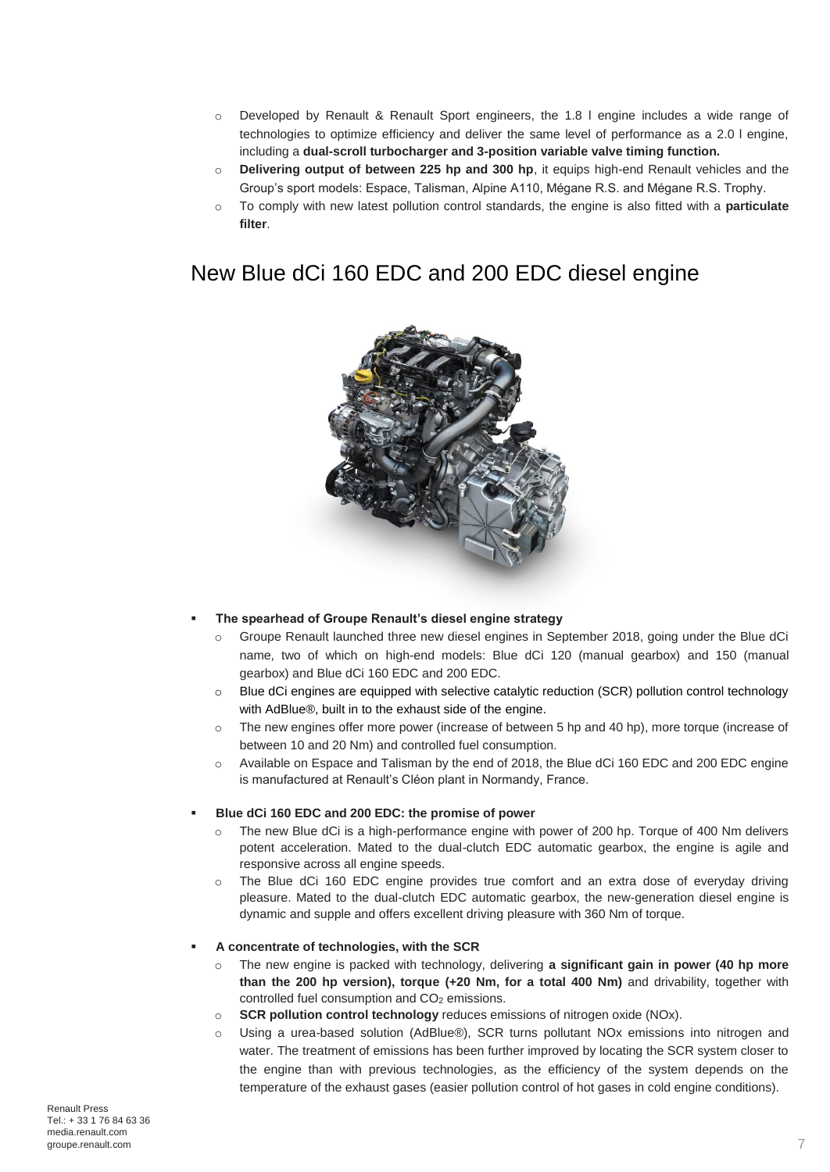- o Developed by Renault & Renault Sport engineers, the 1.8 l engine includes a wide range of technologies to optimize efficiency and deliver the same level of performance as a 2.0 l engine, including a **dual-scroll turbocharger and 3-position variable valve timing function.**
- o **Delivering output of between 225 hp and 300 hp**, it equips high-end Renault vehicles and the Group's sport models: Espace, Talisman, Alpine A110, Mégane R.S. and Mégane R.S. Trophy.
- o To comply with new latest pollution control standards, the engine is also fitted with a **particulate filter**.

### New Blue dCi 160 EDC and 200 EDC diesel engine



### **The spearhead of Groupe Renault's diesel engine strategy**

- o Groupe Renault launched three new diesel engines in September 2018, going under the Blue dCi name, two of which on high-end models: Blue dCi 120 (manual gearbox) and 150 (manual gearbox) and Blue dCi 160 EDC and 200 EDC.
- o Blue dCi engines are equipped with selective catalytic reduction (SCR) pollution control technology with AdBlue®, built in to the exhaust side of the engine.
- $\circ$  The new engines offer more power (increase of between 5 hp and 40 hp), more torque (increase of between 10 and 20 Nm) and controlled fuel consumption.
- o Available on Espace and Talisman by the end of 2018, the Blue dCi 160 EDC and 200 EDC engine is manufactured at Renault's Cléon plant in Normandy, France.

### **Blue dCi 160 EDC and 200 EDC: the promise of power**

- The new Blue dCi is a high-performance engine with power of 200 hp. Torque of 400 Nm delivers potent acceleration. Mated to the dual-clutch EDC automatic gearbox, the engine is agile and responsive across all engine speeds.
- o The Blue dCi 160 EDC engine provides true comfort and an extra dose of everyday driving pleasure. Mated to the dual-clutch EDC automatic gearbox, the new-generation diesel engine is dynamic and supple and offers excellent driving pleasure with 360 Nm of torque.

### **A concentrate of technologies, with the SCR**

- o The new engine is packed with technology, delivering **a significant gain in power (40 hp more than the 200 hp version), torque (+20 Nm, for a total 400 Nm)** and drivability, together with controlled fuel consumption and CO<sub>2</sub> emissions.
- o **SCR pollution control technology** reduces emissions of nitrogen oxide (NOx).
- o Using a urea-based solution (AdBlue®), SCR turns pollutant NOx emissions into nitrogen and water. The treatment of emissions has been further improved by locating the SCR system closer to the engine than with previous technologies, as the efficiency of the system depends on the temperature of the exhaust gases (easier pollution control of hot gases in cold engine conditions).